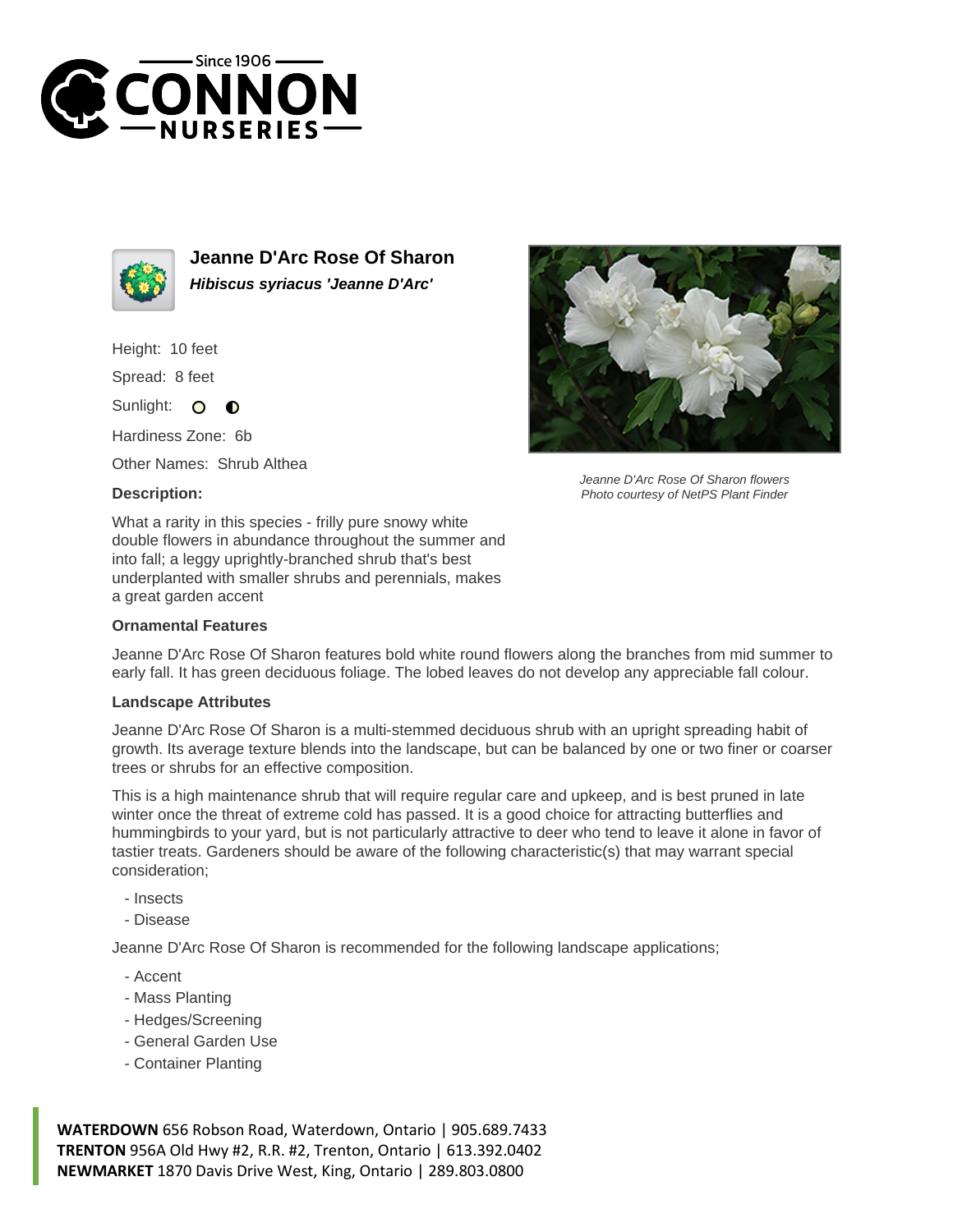



**Jeanne D'Arc Rose Of Sharon Hibiscus syriacus 'Jeanne D'Arc'**

Height: 10 feet

Spread: 8 feet

Sunlight: O  $\bullet$ 

Hardiness Zone: 6b

Other Names: Shrub Althea

## **Description:**

What a rarity in this species - frilly pure snowy white double flowers in abundance throughout the summer and into fall; a leggy uprightly-branched shrub that's best underplanted with smaller shrubs and perennials, makes a great garden accent

## **Ornamental Features**

Jeanne D'Arc Rose Of Sharon features bold white round flowers along the branches from mid summer to early fall. It has green deciduous foliage. The lobed leaves do not develop any appreciable fall colour.

## **Landscape Attributes**

Jeanne D'Arc Rose Of Sharon is a multi-stemmed deciduous shrub with an upright spreading habit of growth. Its average texture blends into the landscape, but can be balanced by one or two finer or coarser trees or shrubs for an effective composition.

This is a high maintenance shrub that will require regular care and upkeep, and is best pruned in late winter once the threat of extreme cold has passed. It is a good choice for attracting butterflies and hummingbirds to your yard, but is not particularly attractive to deer who tend to leave it alone in favor of tastier treats. Gardeners should be aware of the following characteristic(s) that may warrant special consideration;

- Insects

- Disease

Jeanne D'Arc Rose Of Sharon is recommended for the following landscape applications;

- Accent
- Mass Planting
- Hedges/Screening
- General Garden Use
- Container Planting

**WATERDOWN** 656 Robson Road, Waterdown, Ontario | 905.689.7433 **TRENTON** 956A Old Hwy #2, R.R. #2, Trenton, Ontario | 613.392.0402 **NEWMARKET** 1870 Davis Drive West, King, Ontario | 289.803.0800



Jeanne D'Arc Rose Of Sharon flowers Photo courtesy of NetPS Plant Finder